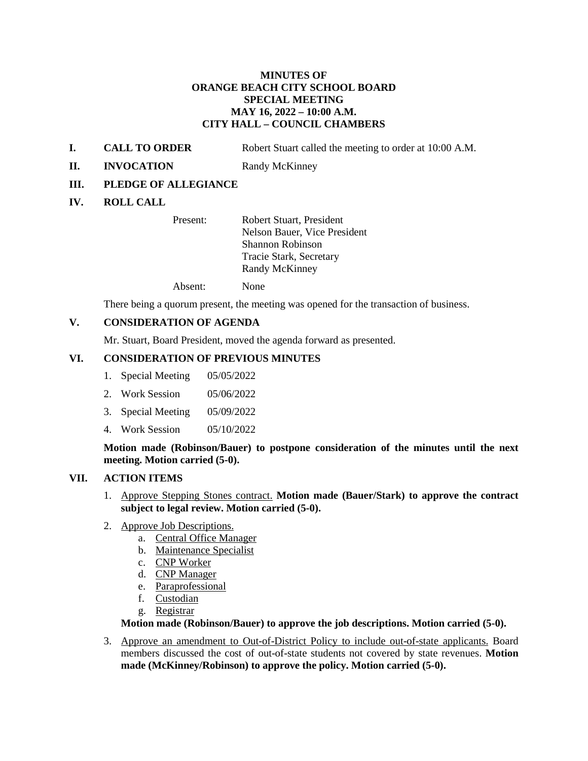## **MINUTES OF ORANGE BEACH CITY SCHOOL BOARD SPECIAL MEETING MAY 16, 2022 – 10:00 A.M. CITY HALL – COUNCIL CHAMBERS**

- **I. CALL TO ORDER** Robert Stuart called the meeting to order at 10:00 A.M.
- **II. INVOCATION** Randy McKinney
- **III. PLEDGE OF ALLEGIANCE**

# **IV. ROLL CALL**

Present: Robert Stuart, President Nelson Bauer, Vice President Shannon Robinson Tracie Stark, Secretary Randy McKinney

Absent: None

There being a quorum present, the meeting was opened for the transaction of business.

# **V. CONSIDERATION OF AGENDA**

Mr. Stuart, Board President, moved the agenda forward as presented.

### **VI. CONSIDERATION OF PREVIOUS MINUTES**

- 1. Special Meeting 05/05/2022
- 2. Work Session 05/06/2022
- 3. Special Meeting 05/09/2022
- 4. Work Session 05/10/2022

**Motion made (Robinson/Bauer) to postpone consideration of the minutes until the next meeting. Motion carried (5-0).**

# **VII. ACTION ITEMS**

- 1. Approve Stepping Stones contract. **Motion made (Bauer/Stark) to approve the contract subject to legal review. Motion carried (5-0).**
- 2. Approve Job Descriptions.
	- a. Central Office Manager
	- b. Maintenance Specialist
	- c. CNP Worker
	- d. CNP Manager
	- e. Paraprofessional
	- f. Custodian
	- g. Registrar

### **Motion made (Robinson/Bauer) to approve the job descriptions. Motion carried (5-0).**

3. Approve an amendment to Out-of-District Policy to include out-of-state applicants. Board members discussed the cost of out-of-state students not covered by state revenues. **Motion made (McKinney/Robinson) to approve the policy. Motion carried (5-0).**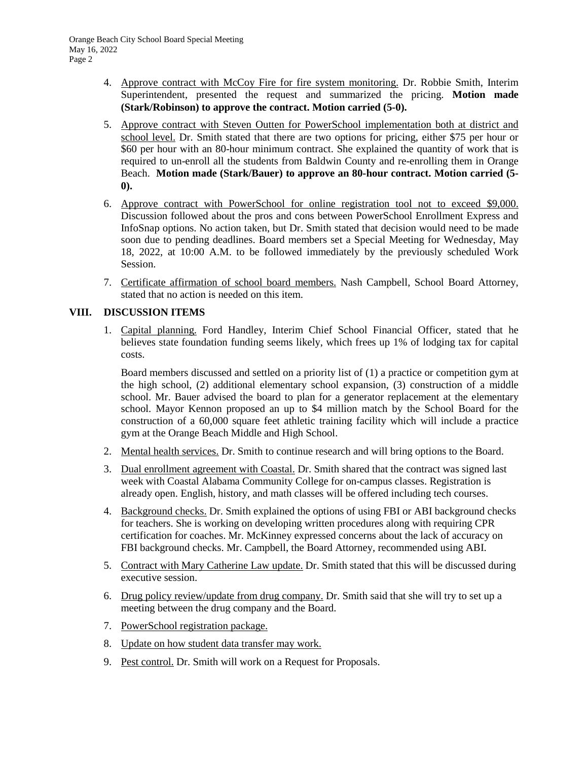- 4. Approve contract with McCoy Fire for fire system monitoring. Dr. Robbie Smith, Interim Superintendent, presented the request and summarized the pricing. **Motion made (Stark/Robinson) to approve the contract. Motion carried (5-0).**
- 5. Approve contract with Steven Outten for PowerSchool implementation both at district and school level. Dr. Smith stated that there are two options for pricing, either \$75 per hour or \$60 per hour with an 80-hour minimum contract. She explained the quantity of work that is required to un-enroll all the students from Baldwin County and re-enrolling them in Orange Beach. **Motion made (Stark/Bauer) to approve an 80-hour contract. Motion carried (5- 0).**
- 6. Approve contract with PowerSchool for online registration tool not to exceed \$9,000. Discussion followed about the pros and cons between PowerSchool Enrollment Express and InfoSnap options. No action taken, but Dr. Smith stated that decision would need to be made soon due to pending deadlines. Board members set a Special Meeting for Wednesday, May 18, 2022, at 10:00 A.M. to be followed immediately by the previously scheduled Work Session.
- 7. Certificate affirmation of school board members. Nash Campbell, School Board Attorney, stated that no action is needed on this item.

# **VIII. DISCUSSION ITEMS**

1. Capital planning. Ford Handley, Interim Chief School Financial Officer, stated that he believes state foundation funding seems likely, which frees up 1% of lodging tax for capital costs.

Board members discussed and settled on a priority list of (1) a practice or competition gym at the high school, (2) additional elementary school expansion, (3) construction of a middle school. Mr. Bauer advised the board to plan for a generator replacement at the elementary school. Mayor Kennon proposed an up to \$4 million match by the School Board for the construction of a 60,000 square feet athletic training facility which will include a practice gym at the Orange Beach Middle and High School.

- 2. Mental health services. Dr. Smith to continue research and will bring options to the Board.
- 3. Dual enrollment agreement with Coastal. Dr. Smith shared that the contract was signed last week with Coastal Alabama Community College for on-campus classes. Registration is already open. English, history, and math classes will be offered including tech courses.
- 4. Background checks. Dr. Smith explained the options of using FBI or ABI background checks for teachers. She is working on developing written procedures along with requiring CPR certification for coaches. Mr. McKinney expressed concerns about the lack of accuracy on FBI background checks. Mr. Campbell, the Board Attorney, recommended using ABI.
- 5. Contract with Mary Catherine Law update. Dr. Smith stated that this will be discussed during executive session.
- 6. Drug policy review/update from drug company. Dr. Smith said that she will try to set up a meeting between the drug company and the Board.
- 7. PowerSchool registration package.
- 8. Update on how student data transfer may work.
- 9. Pest control. Dr. Smith will work on a Request for Proposals.